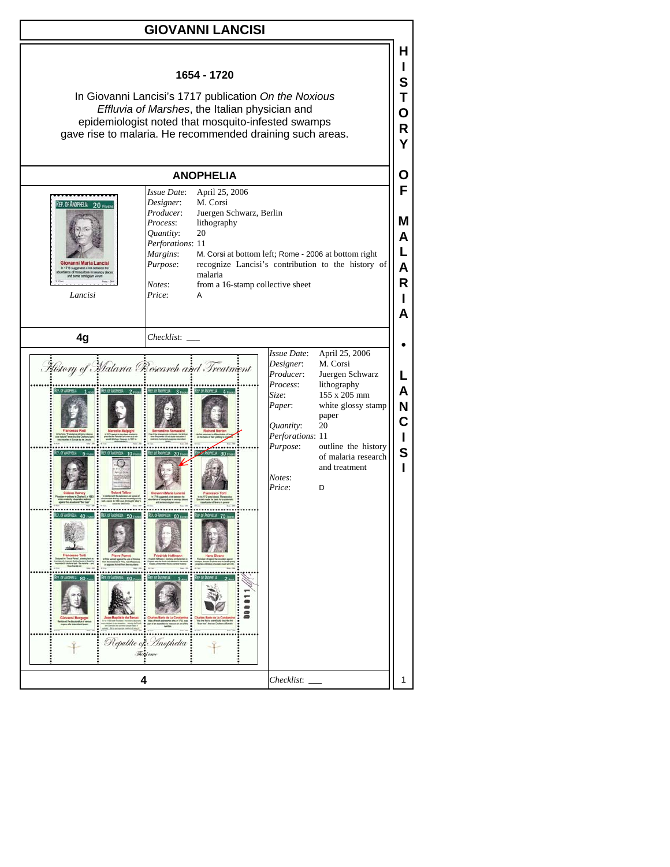